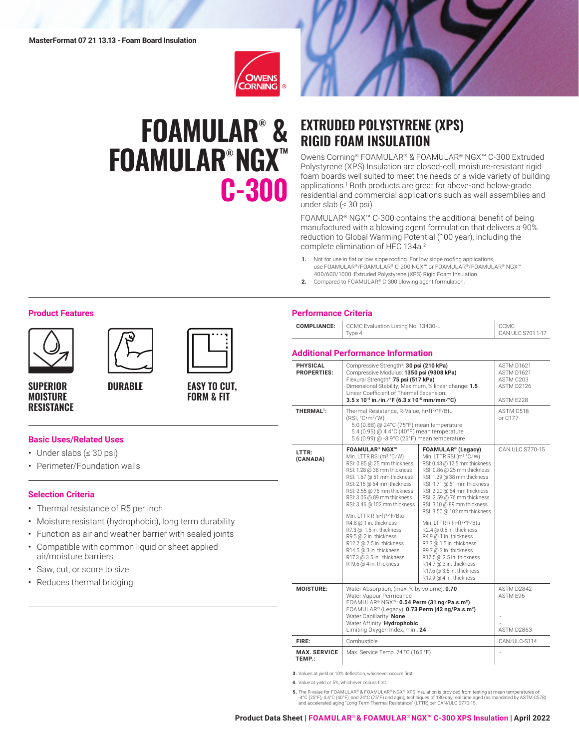

# **FOAMULAR® & FOAMULAR® NGX™ C-300**



# **EXTRUDED POLYSTYRENE (XPS) RIGID FOAM INSULATION**

Owens Corning® FOAMULAR® & FOAMULAR® NGX™ C-300 Extruded Polystyrene (XPS) Insulation are closed-cell, moisture-resistant rigid foam boards well suited to meet the needs of a wide variety of building applications.1 Both products are great for above-and below-grade residential and commercial applications such as wall assemblies and under slab (≤ 30 psi).

FOAMULAR® NGX™ C-300 contains the additional benefit of being manufactured with a blowing agent formulation that delivers a 90% reduction to Global Warming Potential (100 year), including the complete elimination of HFC 134a.<sup>2</sup>

- **1.** Not for use in flat or low slope roofing. For low slope roofing applications, use FOAMULAR®/FOAMULAR® C-200 NGX™ or FOAMULAR®/FOAMULAR® NGX™ 400/600/1000 Extruded Polystyrene (XPS) Rigid Foam Insulation.
- **2.** Compared to FOAMULAR® C-300 blowing agent formulation.

#### **Product Features**







**SUPERIOR MOISTURE RESISTANCE**

## **EASY TO CUT, FORM & FIT**

#### **Basic Uses/Related Uses**

- Under slabs (≤ 30 psi)
- Perimeter/Foundation walls

#### **Selection Criteria**

- Thermal resistance of R5 per inch
- Moisture resistant (hydrophobic), long term durability
- Function as air and weather barrier with sealed joints

**DURABLE**

- Compatible with common liquid or sheet applied air/moisture barriers
- Saw, cut, or score to size
- Reduces thermal bridging

### **Performance Criteria**

| <b>COMPLIANCE:</b>                    | CCMC Evaluation Listing No. 13430-L<br>Type 4                                                                                                                                                                                                                                                                                                                                                                                                                                                                                               | CCMC<br>CAN ULC S701.1-17                                                                                                                                                                                                                                                                                                                                                                                                                                                                                                                                                                              |                                                                  |
|---------------------------------------|---------------------------------------------------------------------------------------------------------------------------------------------------------------------------------------------------------------------------------------------------------------------------------------------------------------------------------------------------------------------------------------------------------------------------------------------------------------------------------------------------------------------------------------------|--------------------------------------------------------------------------------------------------------------------------------------------------------------------------------------------------------------------------------------------------------------------------------------------------------------------------------------------------------------------------------------------------------------------------------------------------------------------------------------------------------------------------------------------------------------------------------------------------------|------------------------------------------------------------------|
|                                       | <b>Additional Performance Information</b>                                                                                                                                                                                                                                                                                                                                                                                                                                                                                                   |                                                                                                                                                                                                                                                                                                                                                                                                                                                                                                                                                                                                        |                                                                  |
| <b>PHYSICAL</b><br><b>PROPERTIES:</b> | Compressive Strength <sup>3</sup> : 30 psi (210 kPa)<br>Compressive Modulus: 1350 psi (9308 kPa)<br>Flexural Strength <sup>4</sup> : 75 psi (517 kPa)<br>Dimensional Stability, Maximum, % linear change: 1.5<br>Linear Coefficient of Thermal Expansion:<br>3.5 x 10 <sup>-5</sup> in./in./°F (6.3 x 10 <sup>-5</sup> mm/mm/°C)                                                                                                                                                                                                            |                                                                                                                                                                                                                                                                                                                                                                                                                                                                                                                                                                                                        | ASTM D1621<br>ASTM D1621<br>ASTM C203<br>ASTM D2126<br>ASTM F228 |
| THERMAL <sup>5</sup> :                | Thermal Resistance, R-Value, hr•ft2•°F/Btu<br>(RSI, °C·m <sup>2</sup> /W)<br>5.0 (0.88) @ 24°C (75°F) mean temperature<br>5.4 (0.95) @ 4.4°C (40°F) mean temperature<br>5.6 (0.99) @ -3.9°C (25°F) mean temperature                                                                                                                                                                                                                                                                                                                         |                                                                                                                                                                                                                                                                                                                                                                                                                                                                                                                                                                                                        | ASTM C518<br>or C177                                             |
| LTTR:<br>(CANADA)                     | <b>FOAMULAR<sup>®</sup> NGX™</b><br>Min. LTTR RSI (m <sup>2</sup> °C/W)<br>RSI: 0.85 @ 25 mm thickness<br>RSI: 1.28 @ 38 mm thickness<br>RSI: 1.67 @ 51 mm thickness<br>RSI: 2.15 @ 64 mm thickness<br>RSI: 2.55 @ 76 mm thickness<br>RSI: 3.05 @ 89 mm thickness<br>RSI: 3.46 @ 102 mm thickness<br>Min. LTTR R hr•ft <sup>2</sup> •°F/Btu<br>R4.8 @ 1 in. thickness<br>R7.3 @ 1.5 in. thickness<br>R9.5 @ 2 in. thickness<br>R12.2 @ 2.5 in. thickness<br>R14.5 @ 3 in. thickness<br>R17.3 @ 3.5 in. thickness<br>R19.6 @ 4 in. thickness | FOAMULAR <sup>®</sup> (Legacy)<br>Min. LTTR RSI (m <sup>2</sup> °C/W)<br>RSI: 0.43 @ 12.5 mm thickness<br>RSI: 0.86 @ 25 mm thickness<br>RSI: 1.29 @ 38 mm thickness<br>RSI: 1.71 @ 51 mm thickness<br>RSI: 2.20 @ 64 mm thickness<br>RSI: 2.59 @ 76 mm thickness<br>RSI: 3.10 @ 89 mm thickness<br>RSI: 3.50 @ 102 mm thickness<br>Min. LTTR R hr•ft <sup>2</sup> •°F/Btu<br>R2.4 @ 0.5 in. thickness<br>R4.9 @ 1 in. thickness<br>R7.3 @ 1.5 in. thickness<br>R9.7 @ 2 in. thickness<br>R12.5 @ 2.5 in. thickness<br>R14.7 @ 3 in. thickness<br>R17.6 @ 3.5 in. thickness<br>R19.9 @ 4 in. thickness | CAN ULC S770-15                                                  |
| MOISTURF:                             | Water Absorption, (max. % by volume): 0.70<br>Water Vapour Permeance<br>FOAMULAR® NGX™: 0.54 Perm (31 ng/Pa.s.m <sup>2</sup> )<br>FOAMULAR® (Legacy): 0.73 Perm (42 ng/Pa.s.m <sup>2</sup> )<br>Water Capillarity: None<br>Water Affinity: Hydrophobic<br>Limiting Oxygen Index, min.: 24                                                                                                                                                                                                                                                   |                                                                                                                                                                                                                                                                                                                                                                                                                                                                                                                                                                                                        | ASTM D2842<br>ASTM E96<br><b>ASTM D2863</b>                      |
| FIRE:                                 | Combustible                                                                                                                                                                                                                                                                                                                                                                                                                                                                                                                                 |                                                                                                                                                                                                                                                                                                                                                                                                                                                                                                                                                                                                        | CAN/ULC-S114                                                     |
| <b>MAX. SERVICE</b><br>TEMP.:         | Max. Service Temp. 74 °C (165 °F)                                                                                                                                                                                                                                                                                                                                                                                                                                                                                                           |                                                                                                                                                                                                                                                                                                                                                                                                                                                                                                                                                                                                        |                                                                  |

**3.** Values at yield or 10% deflection, whichever occurs first.

**4.** Value at yield or 5%, whichever occurs first.

**5.** The R-value for FOAMULAR® & FOAMULAR® NGX™ XPS Insulation is provided from testing at mean temperatures of -4°C (25°F), 4.4°C (40°F), and 24°C (75°F) and aging techniques of 180-day real time aged (as mandated by ASTM C578) and accelerated aging "Long-Term Thermal Resistance" (LTTR) per CAN/ULC S770-15.